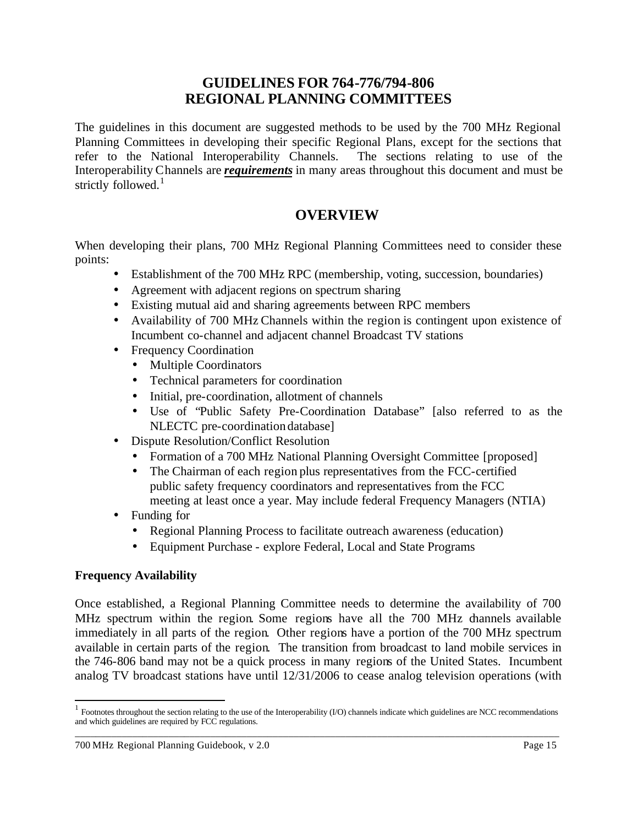# **GUIDELINES FOR 764-776/794-806 REGIONAL PLANNING COMMITTEES**

The guidelines in this document are suggested methods to be used by the 700 MHz Regional Planning Committees in developing their specific Regional Plans, except for the sections that refer to the National Interoperability Channels. The sections relating to use of the Interoperability Channels are *requirements* in many areas throughout this document and must be strictly followed. $1$ 

# **OVERVIEW**

When developing their plans, 700 MHz Regional Planning Committees need to consider these points:

- Establishment of the 700 MHz RPC (membership, voting, succession, boundaries)
- Agreement with adjacent regions on spectrum sharing
- Existing mutual aid and sharing agreements between RPC members
- Availability of 700 MHz Channels within the region is contingent upon existence of Incumbent co-channel and adjacent channel Broadcast TV stations
- Frequency Coordination
	- Multiple Coordinators
	- Technical parameters for coordination
	- Initial, pre-coordination, allotment of channels
	- Use of "Public Safety Pre-Coordination Database" [also referred to as the NLECTC pre-coordination database]
- Dispute Resolution/Conflict Resolution
	- Formation of a 700 MHz National Planning Oversight Committee [proposed]
	- The Chairman of each region plus representatives from the FCC-certified public safety frequency coordinators and representatives from the FCC meeting at least once a year. May include federal Frequency Managers (NTIA)

# • Funding for

- Regional Planning Process to facilitate outreach awareness (education)
- Equipment Purchase explore Federal, Local and State Programs

### **Frequency Availability**

l

Once established, a Regional Planning Committee needs to determine the availability of 700 MHz spectrum within the region. Some regions have all the 700 MHz channels available immediately in all parts of the region. Other regions have a portion of the 700 MHz spectrum available in certain parts of the region. The transition from broadcast to land mobile services in the 746-806 band may not be a quick process in many regions of the United States. Incumbent analog TV broadcast stations have until 12/31/2006 to cease analog television operations (with

\_\_\_\_\_\_\_\_\_\_\_\_\_\_\_\_\_\_\_\_\_\_\_\_\_\_\_\_\_\_\_\_\_\_\_\_\_\_\_\_\_\_\_\_\_\_\_\_\_\_\_\_\_\_\_\_\_\_\_\_\_\_\_\_\_\_\_\_\_\_\_\_\_\_\_\_\_\_\_\_\_\_\_\_\_\_\_\_\_\_\_\_\_  $<sup>1</sup>$  Footnotes throughout the section relating to the use of the Interoperability (I/O) channels indicate which guidelines are NCC recommendations</sup> and which guidelines are required by FCC regulations.

<sup>700</sup> MHz Regional Planning Guidebook, v 2.0 Page 15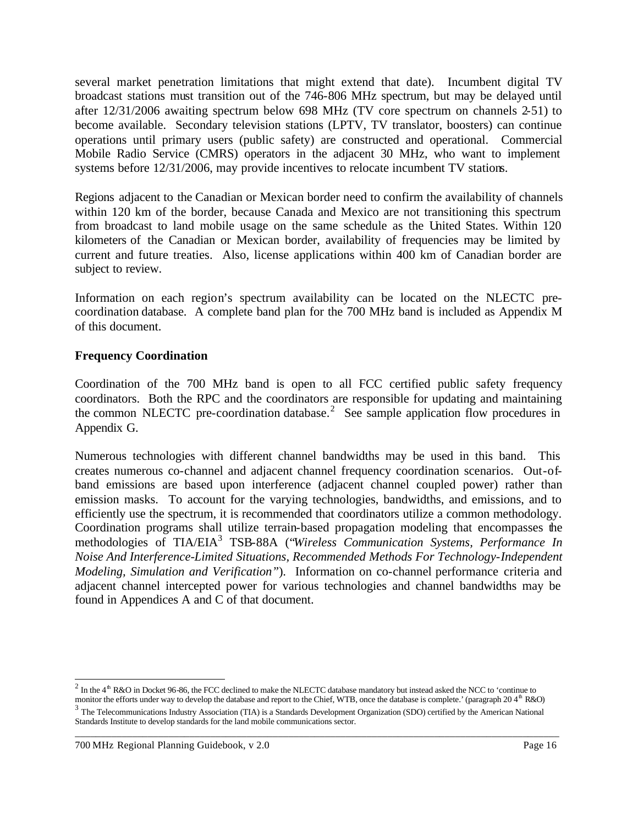several market penetration limitations that might extend that date). Incumbent digital TV broadcast stations must transition out of the 746-806 MHz spectrum, but may be delayed until after 12/31/2006 awaiting spectrum below 698 MHz (TV core spectrum on channels 2-51) to become available. Secondary television stations (LPTV, TV translator, boosters) can continue operations until primary users (public safety) are constructed and operational. Commercial Mobile Radio Service (CMRS) operators in the adjacent 30 MHz, who want to implement systems before 12/31/2006, may provide incentives to relocate incumbent TV stations.

Regions adjacent to the Canadian or Mexican border need to confirm the availability of channels within 120 km of the border, because Canada and Mexico are not transitioning this spectrum from broadcast to land mobile usage on the same schedule as the United States. Within 120 kilometers of the Canadian or Mexican border, availability of frequencies may be limited by current and future treaties. Also, license applications within 400 km of Canadian border are subject to review.

Information on each region's spectrum availability can be located on the NLECTC precoordination database. A complete band plan for the 700 MHz band is included as Appendix M of this document.

## **Frequency Coordination**

Coordination of the 700 MHz band is open to all FCC certified public safety frequency coordinators. Both the RPC and the coordinators are responsible for updating and maintaining the common NLECTC pre-coordination database.<sup>2</sup> See sample application flow procedures in Appendix G.

Numerous technologies with different channel bandwidths may be used in this band. This creates numerous co-channel and adjacent channel frequency coordination scenarios. Out-ofband emissions are based upon interference (adjacent channel coupled power) rather than emission masks. To account for the varying technologies, bandwidths, and emissions, and to efficiently use the spectrum, it is recommended that coordinators utilize a common methodology. Coordination programs shall utilize terrain-based propagation modeling that encompasses the methodologies of TIA/EIA<sup>3</sup> TSB-88A ("*Wireless Communication Systems, Performance In Noise And Interference-Limited Situations, Recommended Methods For Technology-Independent Modeling, Simulation and Verification"*). Information on co-channel performance criteria and adjacent channel intercepted power for various technologies and channel bandwidths may be found in Appendices A and C of that document.

<sup>&</sup>lt;sup>2</sup> In the 4<sup>th</sup> R&O in Docket 96-86, the FCC declined to make the NLECTC database mandatory but instead asked the NCC to 'continue to monitor the efforts under way to develop the database and report to the Chief, WTB, once the database is complete.' (paragraph 20 4<sup>th</sup> R&O)

 $3$  The Telecommunications Industry Association (TIA) is a Standards Development Organization (SDO) certified by the American National Standards Institute to develop standards for the land mobile communications sector.

<sup>700</sup> MHz Regional Planning Guidebook, v 2.0 Page 16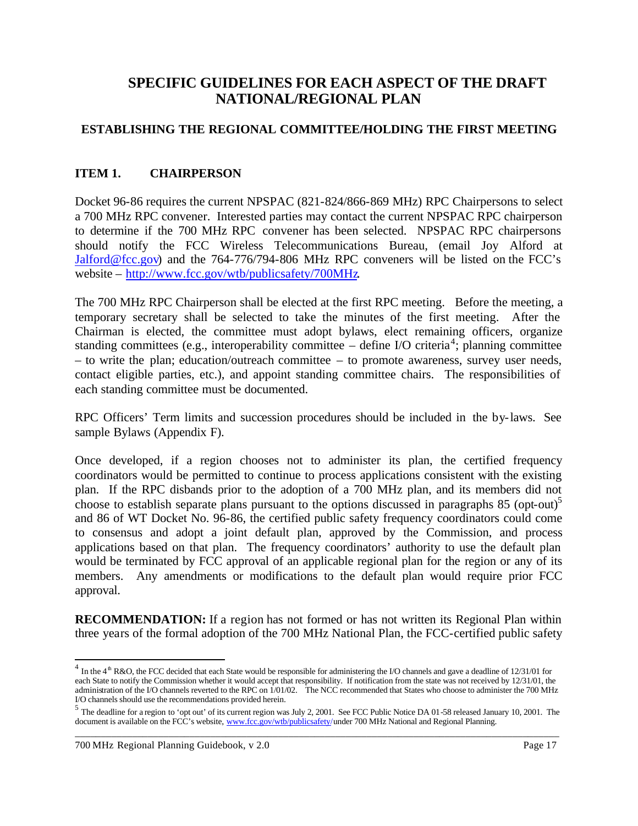# **SPECIFIC GUIDELINES FOR EACH ASPECT OF THE DRAFT NATIONAL/REGIONAL PLAN**

# **ESTABLISHING THE REGIONAL COMMITTEE/HOLDING THE FIRST MEETING**

## **ITEM 1. CHAIRPERSON**

Docket 96-86 requires the current NPSPAC (821-824/866-869 MHz) RPC Chairpersons to select a 700 MHz RPC convener. Interested parties may contact the current NPSPAC RPC chairperson to determine if the 700 MHz RPC convener has been selected. NPSPAC RPC chairpersons should notify the FCC Wireless Telecommunications Bureau, (email Joy Alford at Jalford@fcc.gov) and the 764-776/794-806 MHz RPC conveners will be listed on the FCC's website – http://www.fcc.gov/wtb/publicsafety/700MHz.

The 700 MHz RPC Chairperson shall be elected at the first RPC meeting. Before the meeting, a temporary secretary shall be selected to take the minutes of the first meeting. After the Chairman is elected, the committee must adopt bylaws, elect remaining officers, organize standing committees (e.g., interoperability committee  $-$  define I/O criteria<sup>4</sup>; planning committee – to write the plan; education/outreach committee – to promote awareness, survey user needs, contact eligible parties, etc.), and appoint standing committee chairs. The responsibilities of each standing committee must be documented.

RPC Officers' Term limits and succession procedures should be included in the by-laws. See sample Bylaws (Appendix F).

Once developed, if a region chooses not to administer its plan, the certified frequency coordinators would be permitted to continue to process applications consistent with the existing plan. If the RPC disbands prior to the adoption of a 700 MHz plan, and its members did not choose to establish separate plans pursuant to the options discussed in paragraphs 85 (opt-out)<sup>5</sup> and 86 of WT Docket No. 96-86, the certified public safety frequency coordinators could come to consensus and adopt a joint default plan, approved by the Commission, and process applications based on that plan. The frequency coordinators' authority to use the default plan would be terminated by FCC approval of an applicable regional plan for the region or any of its members. Any amendments or modifications to the default plan would require prior FCC approval.

**RECOMMENDATION:** If a region has not formed or has not written its Regional Plan within three years of the formal adoption of the 700 MHz National Plan, the FCC-certified public safety

 $^{4}$  In the 4<sup>th</sup> R&O, the FCC decided that each State would be responsible for administering the I/O channels and gave a deadline of 12/31/01 for each State to notify the Commission whether it would accept that responsibility. If notification from the state was not received by 12/31/01, the administration of the I/O channels reverted to the RPC on 1/01/02. The NCC recommended that States who choose to administer the 700 MHz I/O channels should use the recommendations provided herein.

\_\_\_\_\_\_\_\_\_\_\_\_\_\_\_\_\_\_\_\_\_\_\_\_\_\_\_\_\_\_\_\_\_\_\_\_\_\_\_\_\_\_\_\_\_\_\_\_\_\_\_\_\_\_\_\_\_\_\_\_\_\_\_\_\_\_\_\_\_\_\_\_\_\_\_\_\_\_\_\_\_\_\_\_\_\_\_\_\_\_\_\_\_ <sup>5</sup> The deadline for a region to 'opt out' of its current region was July 2, 2001. See FCC Public Notice DA 01-58 released January 10, 2001. The document is available on the FCC's website, www.fcc.gov/wtb/publicsafety/under 700 MHz National and Regional Planning.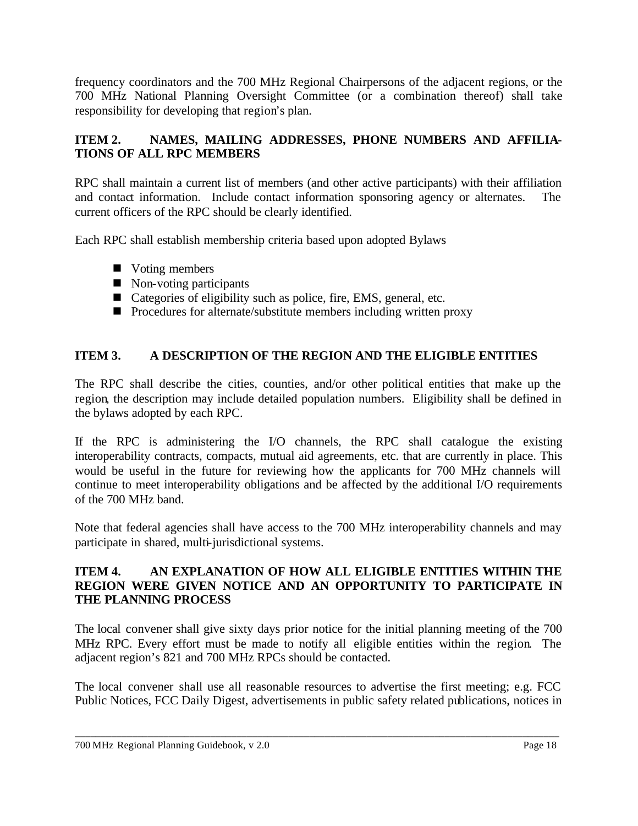frequency coordinators and the 700 MHz Regional Chairpersons of the adjacent regions, or the 700 MHz National Planning Oversight Committee (or a combination thereof) shall take responsibility for developing that region's plan.

# **ITEM 2. NAMES, MAILING ADDRESSES, PHONE NUMBERS AND AFFILIA-TIONS OF ALL RPC MEMBERS**

RPC shall maintain a current list of members (and other active participants) with their affiliation and contact information. Include contact information sponsoring agency or alternates. The current officers of the RPC should be clearly identified.

Each RPC shall establish membership criteria based upon adopted Bylaws

- $\blacksquare$  Voting members
- $\blacksquare$  Non-voting participants
- $\blacksquare$  Categories of eligibility such as police, fire, EMS, general, etc.
- $\blacksquare$  Procedures for alternate/substitute members including written proxy

# **ITEM 3. A DESCRIPTION OF THE REGION AND THE ELIGIBLE ENTITIES**

The RPC shall describe the cities, counties, and/or other political entities that make up the region, the description may include detailed population numbers. Eligibility shall be defined in the bylaws adopted by each RPC.

If the RPC is administering the I/O channels, the RPC shall catalogue the existing interoperability contracts, compacts, mutual aid agreements, etc. that are currently in place. This would be useful in the future for reviewing how the applicants for 700 MHz channels will continue to meet interoperability obligations and be affected by the additional I/O requirements of the 700 MHz band.

Note that federal agencies shall have access to the 700 MHz interoperability channels and may participate in shared, multi-jurisdictional systems.

## **ITEM 4. AN EXPLANATION OF HOW ALL ELIGIBLE ENTITIES WITHIN THE REGION WERE GIVEN NOTICE AND AN OPPORTUNITY TO PARTICIPATE IN THE PLANNING PROCESS**

The local convener shall give sixty days prior notice for the initial planning meeting of the 700 MHz RPC. Every effort must be made to notify all eligible entities within the region. The adjacent region's 821 and 700 MHz RPCs should be contacted.

The local convener shall use all reasonable resources to advertise the first meeting; e.g. FCC Public Notices, FCC Daily Digest, advertisements in public safety related publications, notices in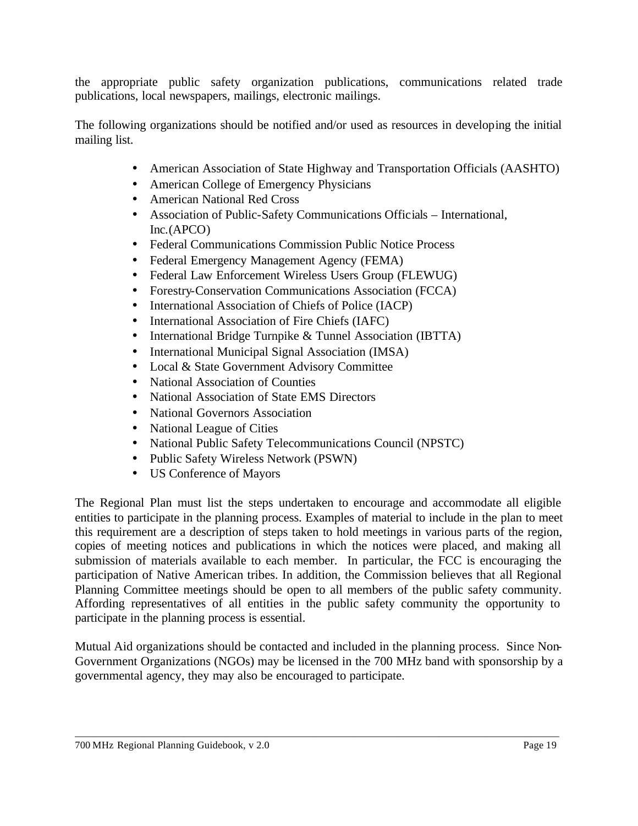the appropriate public safety organization publications, communications related trade publications, local newspapers, mailings, electronic mailings.

The following organizations should be notified and/or used as resources in developing the initial mailing list.

- American Association of State Highway and Transportation Officials (AASHTO)
- American College of Emergency Physicians
- American National Red Cross
- Association of Public-Safety Communications Officials International, Inc.(APCO)
- Federal Communications Commission Public Notice Process
- Federal Emergency Management Agency (FEMA)
- Federal Law Enforcement Wireless Users Group (FLEWUG)
- Forestry-Conservation Communications Association (FCCA)
- International Association of Chiefs of Police (IACP)
- International Association of Fire Chiefs (IAFC)
- International Bridge Turnpike & Tunnel Association (IBTTA)
- International Municipal Signal Association (IMSA)
- Local & State Government Advisory Committee
- National Association of Counties
- National Association of State EMS Directors
- National Governors Association
- National League of Cities
- National Public Safety Telecommunications Council (NPSTC)
- Public Safety Wireless Network (PSWN)
- US Conference of Mayors

The Regional Plan must list the steps undertaken to encourage and accommodate all eligible entities to participate in the planning process. Examples of material to include in the plan to meet this requirement are a description of steps taken to hold meetings in various parts of the region, copies of meeting notices and publications in which the notices were placed, and making all submission of materials available to each member. In particular, the FCC is encouraging the participation of Native American tribes. In addition, the Commission believes that all Regional Planning Committee meetings should be open to all members of the public safety community. Affording representatives of all entities in the public safety community the opportunity to participate in the planning process is essential.

Mutual Aid organizations should be contacted and included in the planning process. Since Non-Government Organizations (NGOs) may be licensed in the 700 MHz band with sponsorship by a governmental agency, they may also be encouraged to participate.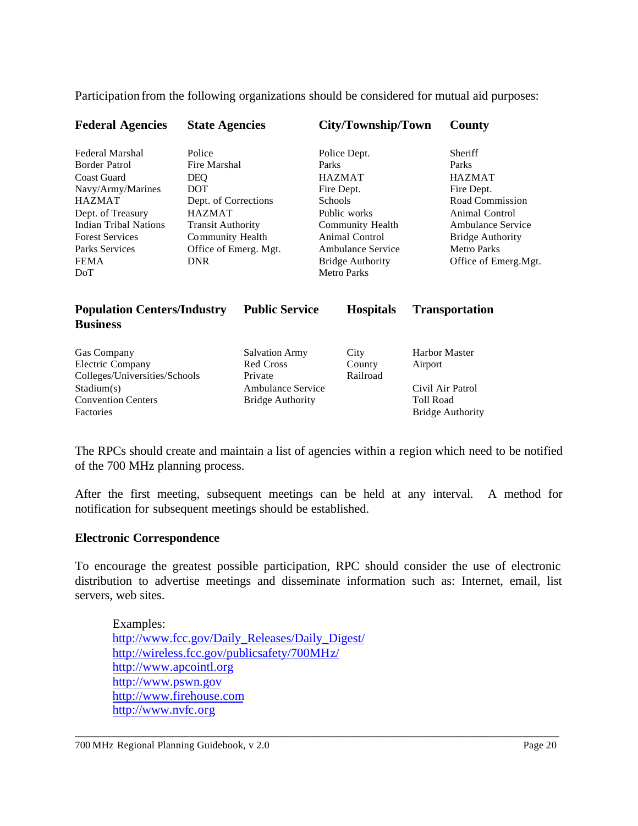Participation from the following organizations should be considered for mutual aid purposes:

| <b>Federal Agencies</b> | <b>State Agencies</b>    | City/Township/Town      | <b>County</b>           |
|-------------------------|--------------------------|-------------------------|-------------------------|
| Federal Marshal         | Police                   | Police Dept.            | <b>Sheriff</b>          |
| Border Patrol           | Fire Marshal             | Parks                   | Parks                   |
| Coast Guard             | <b>DEO</b>               | <b>HAZMAT</b>           | <b>HAZMAT</b>           |
| Navy/Army/Marines       | <b>DOT</b>               | Fire Dept.              | Fire Dept.              |
| <b>HAZMAT</b>           | Dept. of Corrections     | <b>Schools</b>          | Road Commission         |
| Dept. of Treasury       | <b>HAZMAT</b>            | Public works            | Animal Control          |
| Indian Tribal Nations   | <b>Transit Authority</b> | Community Health        | Ambulance Service       |
| <b>Forest Services</b>  | Community Health         | Animal Control          | <b>Bridge Authority</b> |
| Parks Services          | Office of Emerg. Mgt.    | Ambulance Service       | <b>Metro Parks</b>      |
| <b>FEMA</b>             | <b>DNR</b>               | <b>Bridge Authority</b> | Office of Emerg.Mgt.    |
| DoT                     |                          | <b>Metro Parks</b>      |                         |
|                         |                          |                         |                         |
|                         |                          |                         |                         |

| <b>Population Centers/Industry</b><br><b>Business</b>                          | <b>Public Service</b>                         | <b>Hospitals</b>           | <b>Transportation</b>                                           |
|--------------------------------------------------------------------------------|-----------------------------------------------|----------------------------|-----------------------------------------------------------------|
| <b>Gas Company</b><br><b>Electric Company</b><br>Colleges/Universities/Schools | <b>Salvation Army</b><br>Red Cross<br>Private | City<br>County<br>Railroad | <b>Harbor Master</b><br>Airport                                 |
| Stadium(s)<br><b>Convention Centers</b><br>Factories                           | Ambulance Service<br><b>Bridge Authority</b>  |                            | Civil Air Patrol<br><b>Toll Road</b><br><b>Bridge Authority</b> |

The RPCs should create and maintain a list of agencies within a region which need to be notified of the 700 MHz planning process.

After the first meeting, subsequent meetings can be held at any interval. A method for notification for subsequent meetings should be established.

#### **Electronic Correspondence**

To encourage the greatest possible participation, RPC should consider the use of electronic distribution to advertise meetings and disseminate information such as: Internet, email, list servers, web sites.

\_\_\_\_\_\_\_\_\_\_\_\_\_\_\_\_\_\_\_\_\_\_\_\_\_\_\_\_\_\_\_\_\_\_\_\_\_\_\_\_\_\_\_\_\_\_\_\_\_\_\_\_\_\_\_\_\_\_\_\_\_\_\_\_\_\_\_\_\_\_\_\_\_\_\_\_\_\_\_\_\_\_\_\_\_\_\_\_\_\_\_\_\_

Examples: http://www.fcc.gov/Daily\_Releases/Daily\_Digest/ http://wireless.fcc.gov/publicsafety/700MHz/ http://www.apcointl.org http://www.pswn.gov http://www.firehouse.com http://www.nvfc.org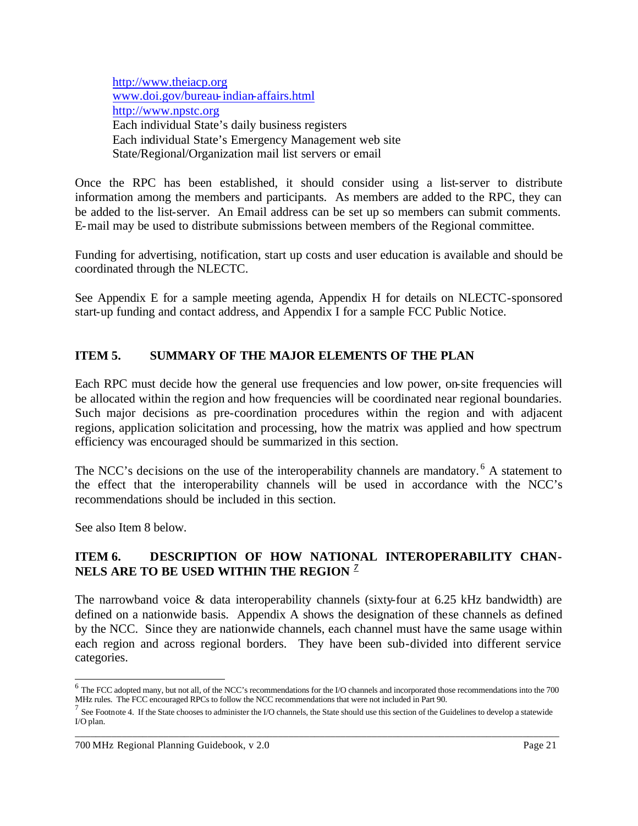http://www.theiacp.org www.doi.gov/bureau-indian-affairs.html http://www.npstc.org Each individual State's daily business registers Each individual State's Emergency Management web site State/Regional/Organization mail list servers or email

Once the RPC has been established, it should consider using a list-server to distribute information among the members and participants. As members are added to the RPC, they can be added to the list-server. An Email address can be set up so members can submit comments. E-mail may be used to distribute submissions between members of the Regional committee.

Funding for advertising, notification, start up costs and user education is available and should be coordinated through the NLECTC.

See Appendix E for a sample meeting agenda, Appendix H for details on NLECTC-sponsored start-up funding and contact address, and Appendix I for a sample FCC Public Notice.

# **ITEM 5. SUMMARY OF THE MAJOR ELEMENTS OF THE PLAN**

Each RPC must decide how the general use frequencies and low power, on-site frequencies will be allocated within the region and how frequencies will be coordinated near regional boundaries. Such major decisions as pre-coordination procedures within the region and with adjacent regions, application solicitation and processing, how the matrix was applied and how spectrum efficiency was encouraged should be summarized in this section.

The NCC's decisions on the use of the interoperability channels are mandatory.<sup>6</sup> A statement to the effect that the interoperability channels will be used in accordance with the NCC's recommendations should be included in this section.

See also Item 8 below.

## **ITEM 6. DESCRIPTION OF HOW NATIONAL INTEROPERABILITY CHAN-NELS ARE TO BE USED WITHIN THE REGION** *<sup>7</sup>*

The narrowband voice & data interoperability channels (sixty-four at 6.25 kHz bandwidth) are defined on a nationwide basis. Appendix A shows the designation of these channels as defined by the NCC. Since they are nationwide channels, each channel must have the same usage within each region and across regional borders. They have been sub-divided into different service categories.

 6 The FCC adopted many, but not all, of the NCC's recommendations for the I/O channels and incorporated those recommendations into the 700 MHz rules. The FCC encouraged RPCs to follow the NCC recommendations that were not included in Part 90.

\_\_\_\_\_\_\_\_\_\_\_\_\_\_\_\_\_\_\_\_\_\_\_\_\_\_\_\_\_\_\_\_\_\_\_\_\_\_\_\_\_\_\_\_\_\_\_\_\_\_\_\_\_\_\_\_\_\_\_\_\_\_\_\_\_\_\_\_\_\_\_\_\_\_\_\_\_\_\_\_\_\_\_\_\_\_\_\_\_\_\_\_\_ <sup>7</sup> See Footnote 4. If the State chooses to administer the I/O channels, the State should use this section of the Guidelines to develop a statewide I/O plan.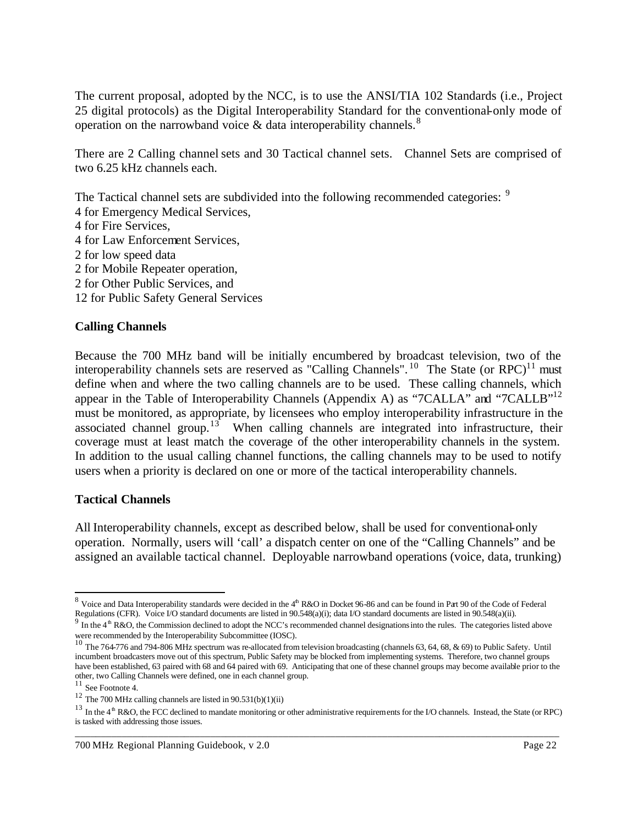The current proposal, adopted by the NCC, is to use the ANSI/TIA 102 Standards (i.e., Project 25 digital protocols) as the Digital Interoperability Standard for the conventional-only mode of operation on the narrowband voice  $\&$  data interoperability channels.<sup>8</sup>

There are 2 Calling channel sets and 30 Tactical channel sets. Channel Sets are comprised of two 6.25 kHz channels each.

The Tactical channel sets are subdivided into the following recommended categories: <sup>9</sup>

- 4 for Emergency Medical Services,
- 4 for Fire Services,
- 4 for Law Enforcement Services,
- 2 for low speed data
- 2 for Mobile Repeater operation,
- 2 for Other Public Services, and
- 12 for Public Safety General Services

### **Calling Channels**

Because the 700 MHz band will be initially encumbered by broadcast television, two of the interoperability channels sets are reserved as "Calling Channels". <sup>10</sup> The State (or RPC)<sup>11</sup> must define when and where the two calling channels are to be used. These calling channels, which appear in the Table of Interoperability Channels (Appendix A) as "7CALLA" and "7CALLB"<sup>12</sup> must be monitored, as appropriate, by licensees who employ interoperability infrastructure in the associated channel group.<sup>13</sup> When calling channels are integrated into infrastructure, their coverage must at least match the coverage of the other interoperability channels in the system. In addition to the usual calling channel functions, the calling channels may to be used to notify users when a priority is declared on one or more of the tactical interoperability channels.

#### **Tactical Channels**

All Interoperability channels, except as described below, shall be used for conventional-only operation. Normally, users will 'call' a dispatch center on one of the "Calling Channels" and be assigned an available tactical channel. Deployable narrowband operations (voice, data, trunking)

<sup>&</sup>lt;sup>8</sup> Voice and Data Interoperability standards were decided in the 4<sup>th</sup> R&O in Docket 96-86 and can be found in Part 90 of the Code of Federal Regulations (CFR). Voice I/O standard documents are listed in 90.548(a)(i); data I/O standard documents are listed in 90.548(a)(ii).

 $9\text{ m}$  In the 4<sup>th</sup> R&O, the Commission declined to adopt the NCC's recommended channel designations into the rules. The categories listed above were recommended by the Interoperability Subcommittee (IOSC).<br><sup>10</sup> The 764-776 and 794-806 MHz spectrum was re-allocated from television broadcasting (channels 63, 64, 68, & 69) to Public Safety. Until

incumbent broadcasters move out of this spectrum, Public Safety may be blocked from implementing systems. Therefore, two channel groups have been established, 63 paired with 68 and 64 paired with 69. Anticipating that one of these channel groups may become available prior to the other, two Calling Channels were defined, one in each channel group.

<sup>11</sup> See Footnote 4.

 $12$  The 700 MHz calling channels are listed in 90.531(b)(1)(ii)

\_\_\_\_\_\_\_\_\_\_\_\_\_\_\_\_\_\_\_\_\_\_\_\_\_\_\_\_\_\_\_\_\_\_\_\_\_\_\_\_\_\_\_\_\_\_\_\_\_\_\_\_\_\_\_\_\_\_\_\_\_\_\_\_\_\_\_\_\_\_\_\_\_\_\_\_\_\_\_\_\_\_\_\_\_\_\_\_\_\_\_\_\_ <sup>13</sup> In the 4<sup>th</sup> R&O, the FCC declined to mandate monitoring or other administrative requirements for the I/O channels. Instead, the State (or RPC) is tasked with addressing those issues.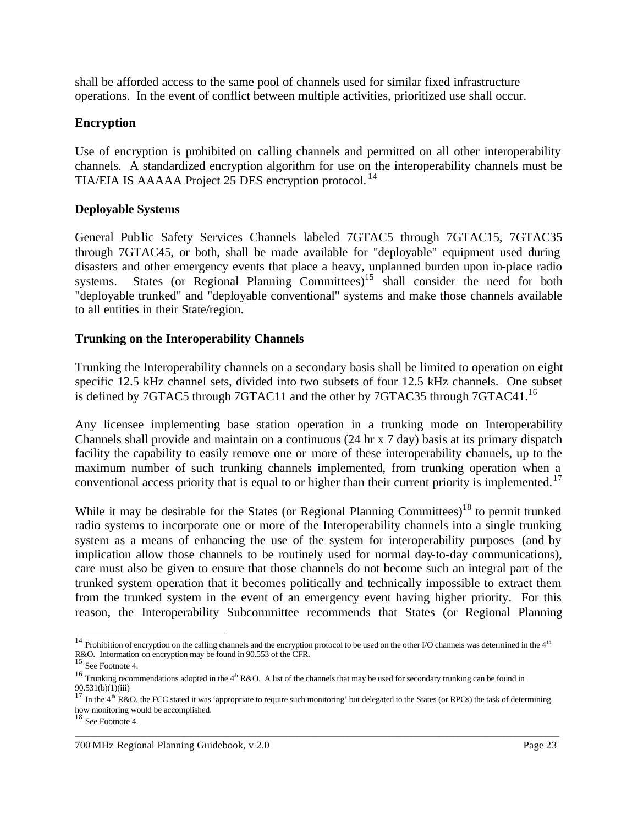shall be afforded access to the same pool of channels used for similar fixed infrastructure operations. In the event of conflict between multiple activities, prioritized use shall occur.

#### **Encryption**

Use of encryption is prohibited on calling channels and permitted on all other interoperability channels. A standardized encryption algorithm for use on the interoperability channels must be TIA/EIA IS AAAAA Project 25 DES encryption protocol. <sup>14</sup>

#### **Deployable Systems**

General Public Safety Services Channels labeled 7GTAC5 through 7GTAC15, 7GTAC35 through 7GTAC45, or both, shall be made available for "deployable" equipment used during disasters and other emergency events that place a heavy, unplanned burden upon in-place radio systems. States (or Regional Planning Committees)<sup>15</sup> shall consider the need for both "deployable trunked" and "deployable conventional" systems and make those channels available to all entities in their State/region.

#### **Trunking on the Interoperability Channels**

Trunking the Interoperability channels on a secondary basis shall be limited to operation on eight specific 12.5 kHz channel sets, divided into two subsets of four 12.5 kHz channels. One subset is defined by 7GTAC5 through 7GTAC11 and the other by 7GTAC35 through 7GTAC41.<sup>16</sup>

Any licensee implementing base station operation in a trunking mode on Interoperability Channels shall provide and maintain on a continuous (24 hr x 7 day) basis at its primary dispatch facility the capability to easily remove one or more of these interoperability channels, up to the maximum number of such trunking channels implemented, from trunking operation when a conventional access priority that is equal to or higher than their current priority is implemented.<sup>17</sup>

While it may be desirable for the States (or Regional Planning Committees)<sup>18</sup> to permit trunked radio systems to incorporate one or more of the Interoperability channels into a single trunking system as a means of enhancing the use of the system for interoperability purposes (and by implication allow those channels to be routinely used for normal day-to-day communications), care must also be given to ensure that those channels do not become such an integral part of the trunked system operation that it becomes politically and technically impossible to extract them from the trunked system in the event of an emergency event having higher priority. For this reason, the Interoperability Subcommittee recommends that States (or Regional Planning

l

 $14$  Prohibition of encryption on the calling channels and the encryption protocol to be used on the other I/O channels was determined in the 4<sup>th</sup> R&O. Information on encryption may be found in 90.553 of the CFR.

<sup>15</sup> See Footnote 4.

<sup>&</sup>lt;sup>16</sup> Trunking recommendations adopted in the  $4<sup>th</sup> R&O$ . A list of the channels that may be used for secondary trunking can be found in  $90.531(b)(1)(iii)$ 

<sup>&</sup>lt;sup>17</sup> In the 4<sup>th</sup> R&O, the FCC stated it was 'appropriate to require such monitoring' but delegated to the States (or RPCs) the task of determining how monitoring would be accomplished.

<sup>18</sup> See Footnote 4.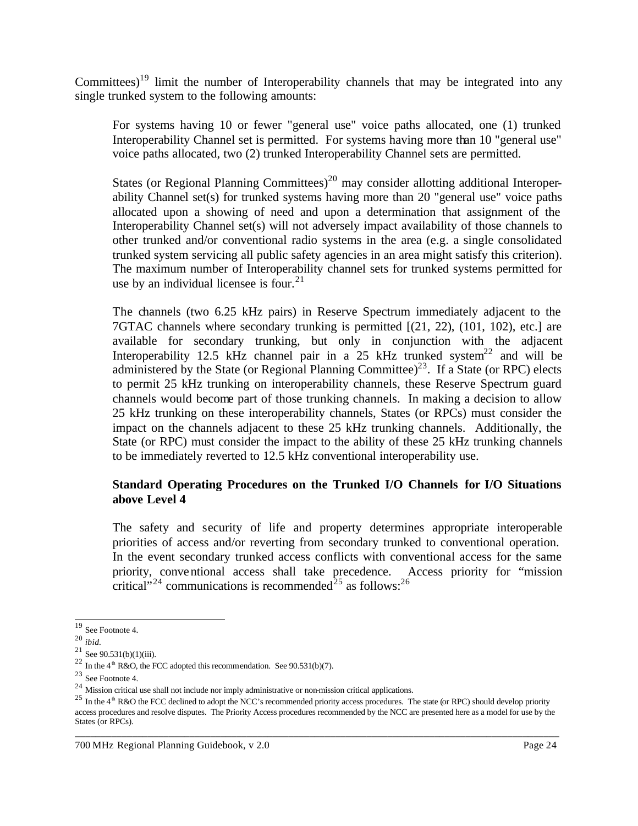Committees)<sup>19</sup> limit the number of Interoperability channels that may be integrated into any single trunked system to the following amounts:

For systems having 10 or fewer "general use" voice paths allocated, one (1) trunked Interoperability Channel set is permitted. For systems having more than 10 "general use" voice paths allocated, two (2) trunked Interoperability Channel sets are permitted.

States (or Regional Planning Committees)<sup>20</sup> may consider allotting additional Interoperability Channel set(s) for trunked systems having more than 20 "general use" voice paths allocated upon a showing of need and upon a determination that assignment of the Interoperability Channel set(s) will not adversely impact availability of those channels to other trunked and/or conventional radio systems in the area (e.g. a single consolidated trunked system servicing all public safety agencies in an area might satisfy this criterion). The maximum number of Interoperability channel sets for trunked systems permitted for use by an individual licensee is four. $^{21}$ 

The channels (two 6.25 kHz pairs) in Reserve Spectrum immediately adjacent to the 7GTAC channels where secondary trunking is permitted [(21, 22), (101, 102), etc.] are available for secondary trunking, but only in conjunction with the adjacent Interoperability 12.5 kHz channel pair in a 25 kHz trunked system<sup>22</sup> and will be administered by the State (or Regional Planning Committee)<sup>23</sup>. If a State (or RPC) elects to permit 25 kHz trunking on interoperability channels, these Reserve Spectrum guard channels would become part of those trunking channels. In making a decision to allow 25 kHz trunking on these interoperability channels, States (or RPCs) must consider the impact on the channels adjacent to these 25 kHz trunking channels. Additionally, the State (or RPC) must consider the impact to the ability of these 25 kHz trunking channels to be immediately reverted to 12.5 kHz conventional interoperability use.

## **Standard Operating Procedures on the Trunked I/O Channels for I/O Situations above Level 4**

The safety and security of life and property determines appropriate interoperable priorities of access and/or reverting from secondary trunked to conventional operation. In the event secondary trunked access conflicts with conventional access for the same priority, conventional access shall take precedence. Access priority for "mission critical"<sup>24</sup> communications is recommended<sup>25</sup> as follows:<sup>26</sup>

l

<sup>19</sup> See Footnote 4.

<sup>20</sup> *ibid.*

 $21$  See 90.531(b)(1)(iii).

<sup>&</sup>lt;sup>22</sup> In the 4<sup>th</sup> R&O, the FCC adopted this recommendation. See 90.531(b)(7).

<sup>23</sup> See Footnote 4.

<sup>&</sup>lt;sup>24</sup> Mission critical use shall not include nor imply administrative or non-mission critical applications.

 $^{25}$  In the 4<sup>th</sup> R&O the FCC declined to adopt the NCC's recommended priority access procedures. The state (or RPC) should develop priority access procedures and resolve disputes. The Priority Access procedures recommended by the NCC are presented here as a model for use by the States (or RPCs).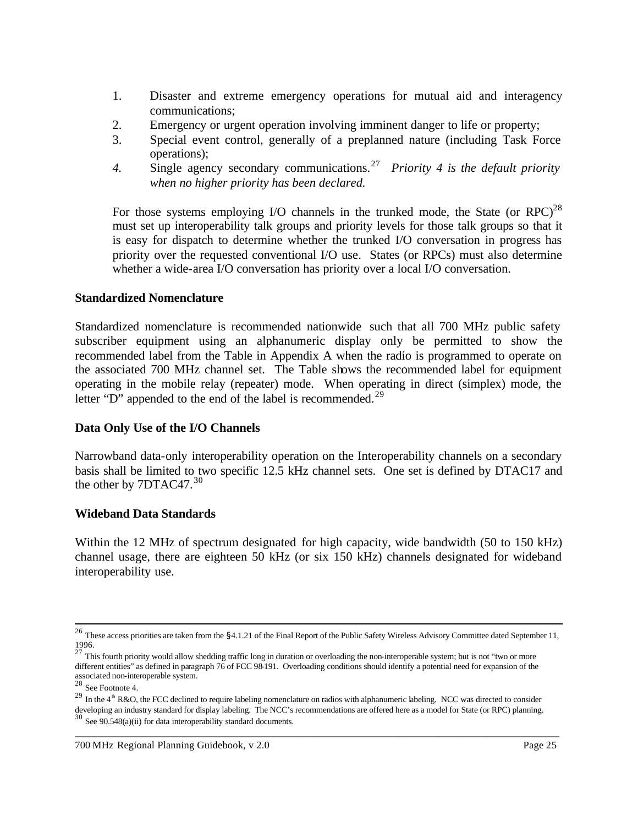- 1. Disaster and extreme emergency operations for mutual aid and interagency communications;
- 2. Emergency or urgent operation involving imminent danger to life or property;
- 3. Special event control, generally of a preplanned nature (including Task Force operations);
- 4. Single agency secondary communications.<sup>27</sup> Priority 4 is the default priority *when no higher priority has been declared.*

For those systems employing I/O channels in the trunked mode, the State (or RPC)<sup>28</sup> must set up interoperability talk groups and priority levels for those talk groups so that it is easy for dispatch to determine whether the trunked I/O conversation in progress has priority over the requested conventional I/O use. States (or RPCs) must also determine whether a wide-area I/O conversation has priority over a local I/O conversation.

### **Standardized Nomenclature**

Standardized nomenclature is recommended nationwide such that all 700 MHz public safety subscriber equipment using an alphanumeric display only be permitted to show the recommended label from the Table in Appendix A when the radio is programmed to operate on the associated 700 MHz channel set. The Table shows the recommended label for equipment operating in the mobile relay (repeater) mode. When operating in direct (simplex) mode, the letter "D" appended to the end of the label is recommended.<sup>29</sup>

### **Data Only Use of the I/O Channels**

Narrowband data-only interoperability operation on the Interoperability channels on a secondary basis shall be limited to two specific 12.5 kHz channel sets. One set is defined by DTAC17 and the other by  $7DTAC47$ .<sup>30</sup>

### **Wideband Data Standards**

Within the 12 MHz of spectrum designated for high capacity, wide bandwidth (50 to 150 kHz) channel usage, there are eighteen 50 kHz (or six 150 kHz) channels designated for wideband interoperability use.

l

<sup>&</sup>lt;sup>26</sup> These access priorities are taken from the \$4.1.21 of the Final Report of the Public Safety Wireless Advisory Committee dated September 11, 1996.

<sup>&</sup>lt;sup>27</sup> This fourth priority would allow shedding traffic long in duration or overloading the non-interoperable system; but is not "two or more different entities" as defined in paragraph 76 of FCC 98-191. Overloading conditions should identify a potential need for expansion of the associated non-interoperable system.

<sup>28</sup> See Footnote 4.

 $^{29}$  In the 4<sup>th</sup> R&O, the FCC declined to require labeling nomenclature on radios with alphanumeric labeling. NCC was directed to consider developing an industry standard for display labeling. The NCC's recommendations are offered here as a model for State (or RPC) planning.<br><sup>30</sup> See 90.548(a)(ii) for data interoperability standard documents.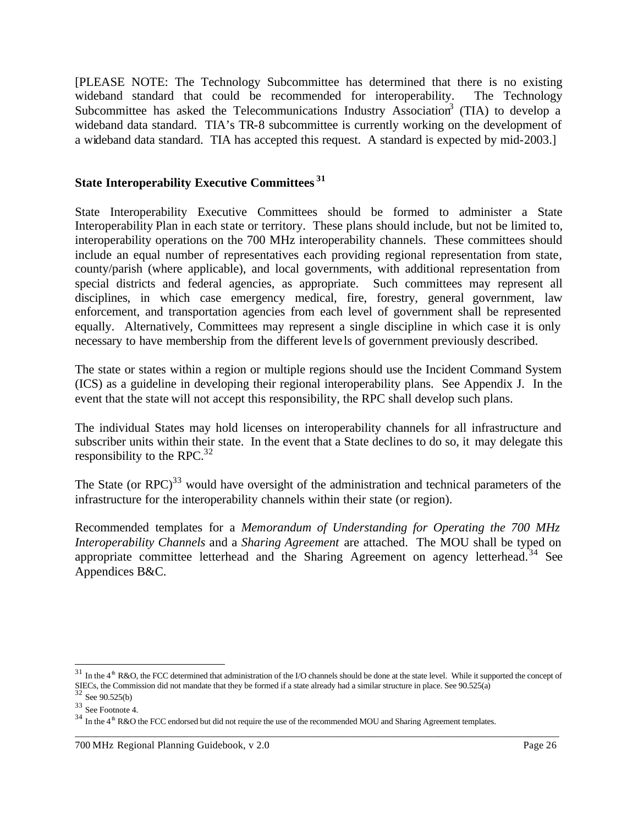[PLEASE NOTE: The Technology Subcommittee has determined that there is no existing wideband standard that could be recommended for interoperability. The Technology Subcommittee has asked the Telecommunications Industry Association<sup>3</sup> (TIA) to develop a wideband data standard. TIA's TR-8 subcommittee is currently working on the development of a wideband data standard. TIA has accepted this request. A standard is expected by mid-2003.]

#### **State Interoperability Executive Committees <sup>31</sup>**

State Interoperability Executive Committees should be formed to administer a State Interoperability Plan in each state or territory. These plans should include, but not be limited to, interoperability operations on the 700 MHz interoperability channels. These committees should include an equal number of representatives each providing regional representation from state, county/parish (where applicable), and local governments, with additional representation from special districts and federal agencies, as appropriate. Such committees may represent all disciplines, in which case emergency medical, fire, forestry, general government, law enforcement, and transportation agencies from each level of government shall be represented equally. Alternatively, Committees may represent a single discipline in which case it is only necessary to have membership from the different leve ls of government previously described.

The state or states within a region or multiple regions should use the Incident Command System (ICS) as a guideline in developing their regional interoperability plans. See Appendix J. In the event that the state will not accept this responsibility, the RPC shall develop such plans.

The individual States may hold licenses on interoperability channels for all infrastructure and subscriber units within their state. In the event that a State declines to do so, it may delegate this responsibility to the RPC. $^{32}$ 

The State (or  $RPC$ )<sup>33</sup> would have oversight of the administration and technical parameters of the infrastructure for the interoperability channels within their state (or region).

Recommended templates for a *Memorandum of Understanding for Operating the 700 MHz Interoperability Channels* and a *Sharing Agreement* are attached. The MOU shall be typed on appropriate committee letterhead and the Sharing Agreement on agency letterhead.<sup>34</sup> See Appendices B&C.

\_\_\_\_\_\_\_\_\_\_\_\_\_\_\_\_\_\_\_\_\_\_\_\_\_\_\_\_\_\_\_\_\_\_\_\_\_\_\_\_\_\_\_\_\_\_\_\_\_\_\_\_\_\_\_\_\_\_\_\_\_\_\_\_\_\_\_\_\_\_\_\_\_\_\_\_\_\_\_\_\_\_\_\_\_\_\_\_\_\_\_\_\_

 $31$  In the 4<sup>th</sup> R&O, the FCC determined that administration of the I/O channels should be done at the state level. While it supported the concept of SIECs, the Commission did not mandate that they be formed if a state already had a similar structure in place. See  $90.525(a)$ 

<sup>32</sup> See 90.525(b)

<sup>33</sup> See Footnote 4.

 $34$  In the 4<sup>th</sup> R&O the FCC endorsed but did not require the use of the recommended MOU and Sharing Agreement templates.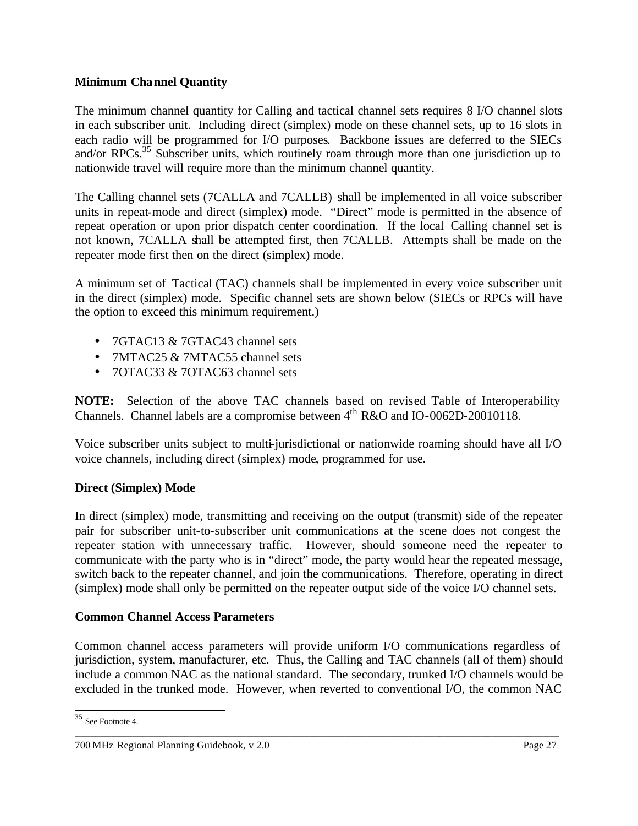## **Minimum Channel Quantity**

The minimum channel quantity for Calling and tactical channel sets requires 8 I/O channel slots in each subscriber unit. Including direct (simplex) mode on these channel sets, up to 16 slots in each radio will be programmed for I/O purposes. Backbone issues are deferred to the SIECs and/or RPCs.<sup>35</sup> Subscriber units, which routinely roam through more than one jurisdiction up to nationwide travel will require more than the minimum channel quantity.

The Calling channel sets (7CALLA and 7CALLB) shall be implemented in all voice subscriber units in repeat-mode and direct (simplex) mode. "Direct" mode is permitted in the absence of repeat operation or upon prior dispatch center coordination. If the local Calling channel set is not known, 7CALLA shall be attempted first, then 7CALLB. Attempts shall be made on the repeater mode first then on the direct (simplex) mode.

A minimum set of Tactical (TAC) channels shall be implemented in every voice subscriber unit in the direct (simplex) mode. Specific channel sets are shown below (SIECs or RPCs will have the option to exceed this minimum requirement.)

- 7GTAC13 & 7GTAC43 channel sets
- 7MTAC25 & 7MTAC55 channel sets
- 70TAC33 & 70TAC63 channel sets

**NOTE:** Selection of the above TAC channels based on revised Table of Interoperability Channels. Channel labels are a compromise between  $4<sup>th</sup> R&O$  and IO-0062D-20010118.

Voice subscriber units subject to multi-jurisdictional or nationwide roaming should have all I/O voice channels, including direct (simplex) mode, programmed for use.

# **Direct (Simplex) Mode**

In direct (simplex) mode, transmitting and receiving on the output (transmit) side of the repeater pair for subscriber unit-to-subscriber unit communications at the scene does not congest the repeater station with unnecessary traffic. However, should someone need the repeater to communicate with the party who is in "direct" mode, the party would hear the repeated message, switch back to the repeater channel, and join the communications. Therefore, operating in direct (simplex) mode shall only be permitted on the repeater output side of the voice I/O channel sets.

### **Common Channel Access Parameters**

Common channel access parameters will provide uniform I/O communications regardless of jurisdiction, system, manufacturer, etc. Thus, the Calling and TAC channels (all of them) should include a common NAC as the national standard. The secondary, trunked I/O channels would be excluded in the trunked mode. However, when reverted to conventional I/O, the common NAC

\_\_\_\_\_\_\_\_\_\_\_\_\_\_\_\_\_\_\_\_\_\_\_\_\_\_\_\_\_\_\_\_\_\_\_\_\_\_\_\_\_\_\_\_\_\_\_\_\_\_\_\_\_\_\_\_\_\_\_\_\_\_\_\_\_\_\_\_\_\_\_\_\_\_\_\_\_\_\_\_\_\_\_\_\_\_\_\_\_\_\_\_\_

<sup>35</sup> See Footnote 4.

<sup>700</sup> MHz Regional Planning Guidebook, v 2.0 Page 27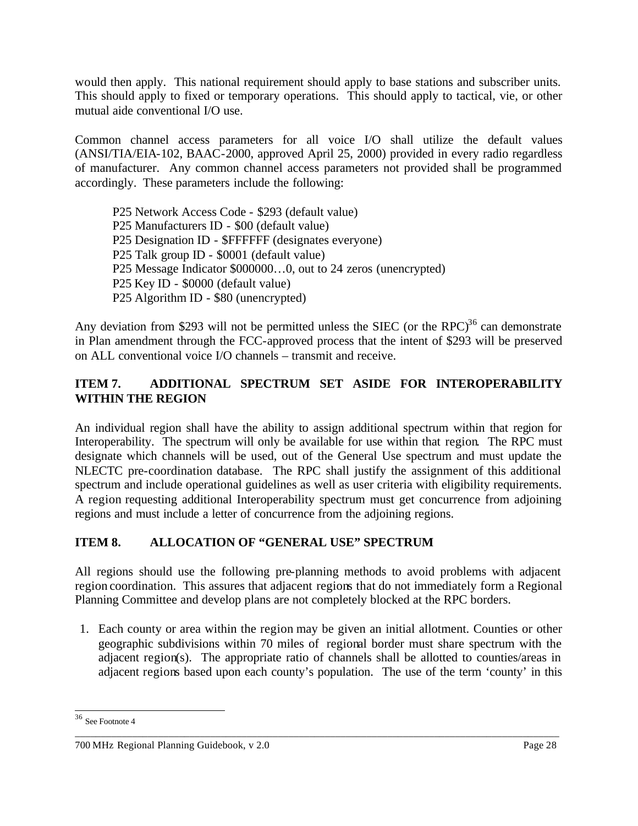would then apply. This national requirement should apply to base stations and subscriber units. This should apply to fixed or temporary operations. This should apply to tactical, vie, or other mutual aide conventional I/O use.

Common channel access parameters for all voice I/O shall utilize the default values (ANSI/TIA/EIA-102, BAAC-2000, approved April 25, 2000) provided in every radio regardless of manufacturer. Any common channel access parameters not provided shall be programmed accordingly. These parameters include the following:

P25 Network Access Code - \$293 (default value) P25 Manufacturers ID - \$00 (default value) P25 Designation ID - \$FFFFFF (designates everyone) P25 Talk group ID - \$0001 (default value) P25 Message Indicator \$000000…0, out to 24 zeros (unencrypted) P25 Key ID - \$0000 (default value) P25 Algorithm ID - \$80 (unencrypted)

Any deviation from \$293 will not be permitted unless the SIEC (or the RPC) $36$  can demonstrate in Plan amendment through the FCC-approved process that the intent of \$293 will be preserved on ALL conventional voice I/O channels – transmit and receive.

# **ITEM 7. ADDITIONAL SPECTRUM SET ASIDE FOR INTEROPERABILITY WITHIN THE REGION**

An individual region shall have the ability to assign additional spectrum within that region for Interoperability. The spectrum will only be available for use within that region. The RPC must designate which channels will be used, out of the General Use spectrum and must update the NLECTC pre-coordination database. The RPC shall justify the assignment of this additional spectrum and include operational guidelines as well as user criteria with eligibility requirements. A region requesting additional Interoperability spectrum must get concurrence from adjoining regions and must include a letter of concurrence from the adjoining regions.

# **ITEM 8. ALLOCATION OF "GENERAL USE" SPECTRUM**

All regions should use the following pre-planning methods to avoid problems with adjacent region coordination. This assures that adjacent regions that do not immediately form a Regional Planning Committee and develop plans are not completely blocked at the RPC borders.

1. Each county or area within the region may be given an initial allotment. Counties or other geographic subdivisions within 70 miles of regional border must share spectrum with the adjacent region(s). The appropriate ratio of channels shall be allotted to counties/areas in adjacent regions based upon each county's population. The use of the term 'county' in this

\_\_\_\_\_\_\_\_\_\_\_\_\_\_\_\_\_\_\_\_\_\_\_\_\_\_\_\_\_\_\_\_\_\_\_\_\_\_\_\_\_\_\_\_\_\_\_\_\_\_\_\_\_\_\_\_\_\_\_\_\_\_\_\_\_\_\_\_\_\_\_\_\_\_\_\_\_\_\_\_\_\_\_\_\_\_\_\_\_\_\_\_\_

<sup>36</sup> See Footnote 4

<sup>700</sup> MHz Regional Planning Guidebook, v 2.0 Page 28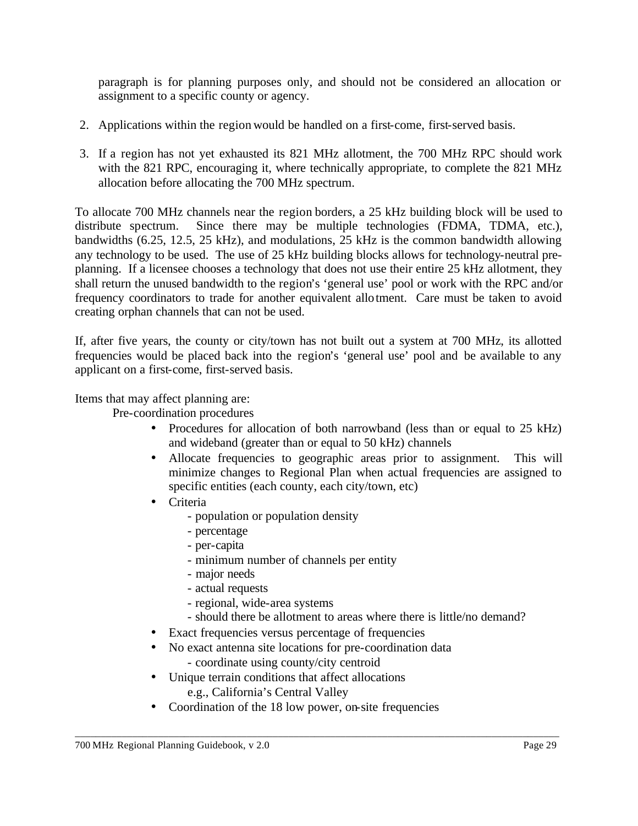paragraph is for planning purposes only, and should not be considered an allocation or assignment to a specific county or agency.

- 2. Applications within the region would be handled on a first-come, first-served basis.
- 3. If a region has not yet exhausted its 821 MHz allotment, the 700 MHz RPC should work with the 821 RPC, encouraging it, where technically appropriate, to complete the 821 MHz allocation before allocating the 700 MHz spectrum.

To allocate 700 MHz channels near the region borders, a 25 kHz building block will be used to distribute spectrum. Since there may be multiple technologies (FDMA, TDMA, etc.), bandwidths (6.25, 12.5, 25 kHz), and modulations, 25 kHz is the common bandwidth allowing any technology to be used. The use of 25 kHz building blocks allows for technology-neutral preplanning. If a licensee chooses a technology that does not use their entire 25 kHz allotment, they shall return the unused bandwidth to the region's 'general use' pool or work with the RPC and/or frequency coordinators to trade for another equivalent allotment. Care must be taken to avoid creating orphan channels that can not be used.

If, after five years, the county or city/town has not built out a system at 700 MHz, its allotted frequencies would be placed back into the region's 'general use' pool and be available to any applicant on a first-come, first-served basis.

Items that may affect planning are:

Pre-coordination procedures

- Procedures for allocation of both narrowband (less than or equal to 25 kHz) and wideband (greater than or equal to 50 kHz) channels
- Allocate frequencies to geographic areas prior to assignment. This will minimize changes to Regional Plan when actual frequencies are assigned to specific entities (each county, each city/town, etc)
- Criteria
	- population or population density
	- percentage
	- per-capita
	- minimum number of channels per entity
	- major needs
	- actual requests
	- regional, wide-area systems
	- should there be allotment to areas where there is little/no demand?
- Exact frequencies versus percentage of frequencies
- No exact antenna site locations for pre-coordination data
	- coordinate using county/city centroid
- Unique terrain conditions that affect allocations e.g., California's Central Valley
- Coordination of the 18 low power, on-site frequencies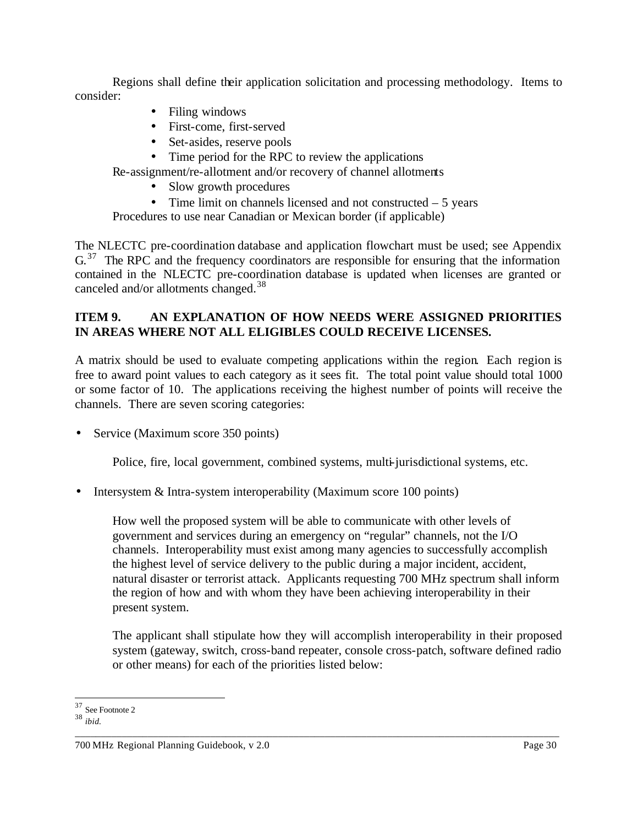Regions shall define their application solicitation and processing methodology. Items to consider:

- Filing windows
- First-come, first-served
- Set-asides, reserve pools
- Time period for the RPC to review the applications

Re-assignment/re-allotment and/or recovery of channel allotments

- Slow growth procedures
- Time limit on channels licensed and not constructed  $-5$  years

Procedures to use near Canadian or Mexican border (if applicable)

The NLECTC pre-coordination database and application flowchart must be used; see Appendix  $G<sup>37</sup>$  The RPC and the frequency coordinators are responsible for ensuring that the information contained in the NLECTC pre-coordination database is updated when licenses are granted or canceled and/or allotments changed.<sup>38</sup>

## **ITEM 9. AN EXPLANATION OF HOW NEEDS WERE ASSIGNED PRIORITIES IN AREAS WHERE NOT ALL ELIGIBLES COULD RECEIVE LICENSES.**

A matrix should be used to evaluate competing applications within the region. Each region is free to award point values to each category as it sees fit. The total point value should total 1000 or some factor of 10. The applications receiving the highest number of points will receive the channels. There are seven scoring categories:

• Service (Maximum score 350 points)

Police, fire, local government, combined systems, multi-jurisdictional systems, etc.

• Intersystem & Intra-system interoperability (Maximum score 100 points)

How well the proposed system will be able to communicate with other levels of government and services during an emergency on "regular" channels, not the I/O channels. Interoperability must exist among many agencies to successfully accomplish the highest level of service delivery to the public during a major incident, accident, natural disaster or terrorist attack. Applicants requesting 700 MHz spectrum shall inform the region of how and with whom they have been achieving interoperability in their present system.

The applicant shall stipulate how they will accomplish interoperability in their proposed system (gateway, switch, cross-band repeater, console cross-patch, software defined radio or other means) for each of the priorities listed below:

l <sup>37</sup> See Footnote 2

<sup>38</sup> *ibid.*

<sup>700</sup> MHz Regional Planning Guidebook, v 2.0 Page 30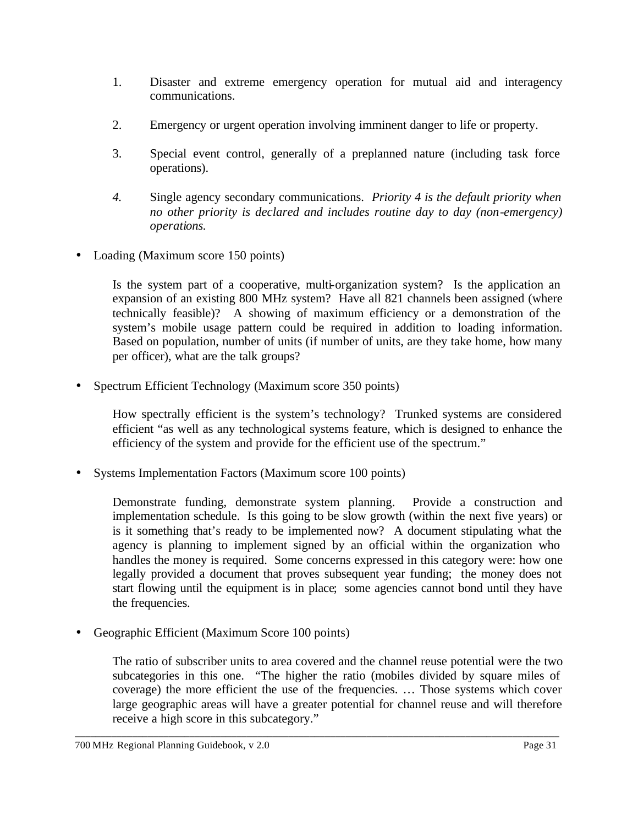- 1. Disaster and extreme emergency operation for mutual aid and interagency communications.
- 2. Emergency or urgent operation involving imminent danger to life or property.
- 3. Special event control, generally of a preplanned nature (including task force operations).
- *4.* Single agency secondary communications. *Priority 4 is the default priority when no other priority is declared and includes routine day to day (non-emergency) operations.*
- Loading (Maximum score 150 points)

Is the system part of a cooperative, multi-organization system? Is the application an expansion of an existing 800 MHz system? Have all 821 channels been assigned (where technically feasible)? A showing of maximum efficiency or a demonstration of the system's mobile usage pattern could be required in addition to loading information. Based on population, number of units (if number of units, are they take home, how many per officer), what are the talk groups?

• Spectrum Efficient Technology (Maximum score 350 points)

How spectrally efficient is the system's technology? Trunked systems are considered efficient "as well as any technological systems feature, which is designed to enhance the efficiency of the system and provide for the efficient use of the spectrum."

• Systems Implementation Factors (Maximum score 100 points)

Demonstrate funding, demonstrate system planning. Provide a construction and implementation schedule. Is this going to be slow growth (within the next five years) or is it something that's ready to be implemented now? A document stipulating what the agency is planning to implement signed by an official within the organization who handles the money is required. Some concerns expressed in this category were: how one legally provided a document that proves subsequent year funding; the money does not start flowing until the equipment is in place; some agencies cannot bond until they have the frequencies.

• Geographic Efficient (Maximum Score 100 points)

The ratio of subscriber units to area covered and the channel reuse potential were the two subcategories in this one. "The higher the ratio (mobiles divided by square miles of coverage) the more efficient the use of the frequencies. … Those systems which cover large geographic areas will have a greater potential for channel reuse and will therefore receive a high score in this subcategory."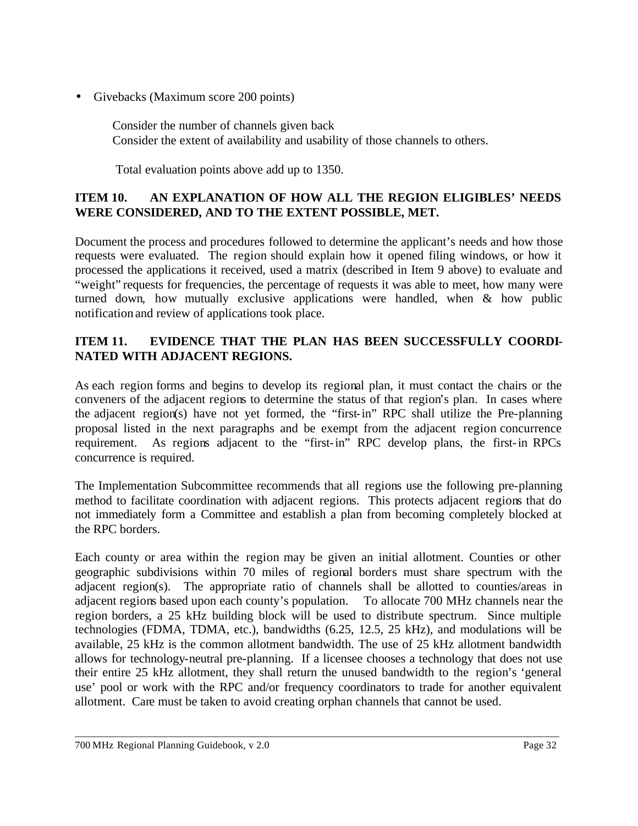• Givebacks (Maximum score 200 points)

Consider the number of channels given back Consider the extent of availability and usability of those channels to others.

Total evaluation points above add up to 1350.

## **ITEM 10. AN EXPLANATION OF HOW ALL THE REGION ELIGIBLES' NEEDS WERE CONSIDERED, AND TO THE EXTENT POSSIBLE, MET.**

Document the process and procedures followed to determine the applicant's needs and how those requests were evaluated. The region should explain how it opened filing windows, or how it processed the applications it received, used a matrix (described in Item 9 above) to evaluate and "weight" requests for frequencies, the percentage of requests it was able to meet, how many were turned down, how mutually exclusive applications were handled, when & how public notification and review of applications took place.

# **ITEM 11. EVIDENCE THAT THE PLAN HAS BEEN SUCCESSFULLY COORDI-NATED WITH ADJACENT REGIONS.**

As each region forms and begins to develop its regional plan, it must contact the chairs or the conveners of the adjacent regions to determine the status of that region's plan. In cases where the adjacent region(s) have not yet formed, the "first-in" RPC shall utilize the Pre-planning proposal listed in the next paragraphs and be exempt from the adjacent region concurrence requirement. As regions adjacent to the "first-in" RPC develop plans, the first-in RPCs concurrence is required.

The Implementation Subcommittee recommends that all regions use the following pre-planning method to facilitate coordination with adjacent regions. This protects adjacent regions that do not immediately form a Committee and establish a plan from becoming completely blocked at the RPC borders.

Each county or area within the region may be given an initial allotment. Counties or other geographic subdivisions within 70 miles of regional borders must share spectrum with the adjacent region(s). The appropriate ratio of channels shall be allotted to counties/areas in adjacent regions based upon each county's population. To allocate 700 MHz channels near the region borders, a 25 kHz building block will be used to distribute spectrum. Since multiple technologies (FDMA, TDMA, etc.), bandwidths (6.25, 12.5, 25 kHz), and modulations will be available, 25 kHz is the common allotment bandwidth. The use of 25 kHz allotment bandwidth allows for technology-neutral pre-planning. If a licensee chooses a technology that does not use their entire 25 kHz allotment, they shall return the unused bandwidth to the region's 'general use' pool or work with the RPC and/or frequency coordinators to trade for another equivalent allotment. Care must be taken to avoid creating orphan channels that cannot be used.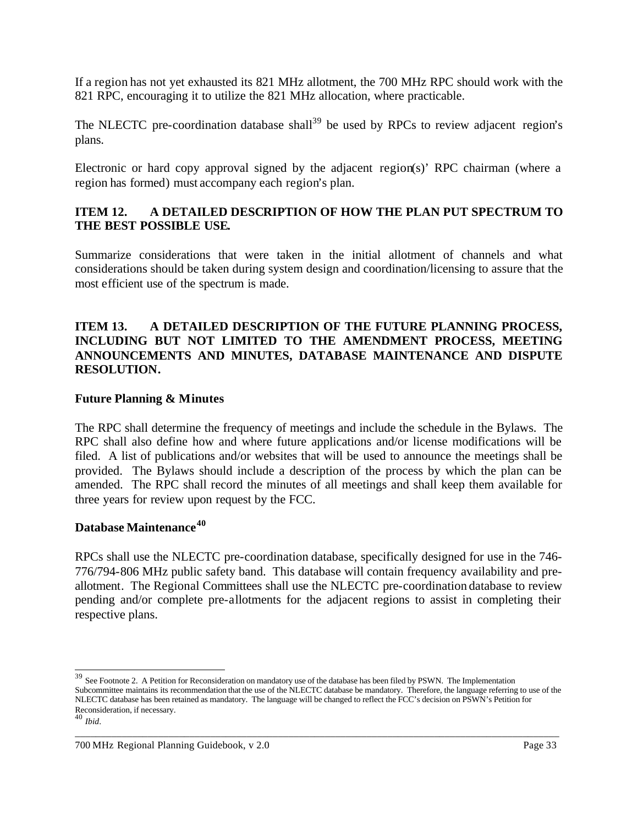If a region has not yet exhausted its 821 MHz allotment, the 700 MHz RPC should work with the 821 RPC, encouraging it to utilize the 821 MHz allocation, where practicable.

The NLECTC pre-coordination database shall<sup>39</sup> be used by RPCs to review adjacent region's plans.

Electronic or hard copy approval signed by the adjacent region(s)' RPC chairman (where a region has formed) must accompany each region's plan.

## **ITEM 12. A DETAILED DESCRIPTION OF HOW THE PLAN PUT SPECTRUM TO THE BEST POSSIBLE USE.**

Summarize considerations that were taken in the initial allotment of channels and what considerations should be taken during system design and coordination/licensing to assure that the most efficient use of the spectrum is made.

#### **ITEM 13. A DETAILED DESCRIPTION OF THE FUTURE PLANNING PROCESS, INCLUDING BUT NOT LIMITED TO THE AMENDMENT PROCESS, MEETING ANNOUNCEMENTS AND MINUTES, DATABASE MAINTENANCE AND DISPUTE RESOLUTION.**

#### **Future Planning & Minutes**

The RPC shall determine the frequency of meetings and include the schedule in the Bylaws. The RPC shall also define how and where future applications and/or license modifications will be filed. A list of publications and/or websites that will be used to announce the meetings shall be provided. The Bylaws should include a description of the process by which the plan can be amended. The RPC shall record the minutes of all meetings and shall keep them available for three years for review upon request by the FCC.

#### **Database Maintenance<sup>40</sup>**

RPCs shall use the NLECTC pre-coordination database, specifically designed for use in the 746- 776/794-806 MHz public safety band. This database will contain frequency availability and preallotment. The Regional Committees shall use the NLECTC pre-coordination database to review pending and/or complete pre-allotments for the adjacent regions to assist in completing their respective plans.

\_\_\_\_\_\_\_\_\_\_\_\_\_\_\_\_\_\_\_\_\_\_\_\_\_\_\_\_\_\_\_\_\_\_\_\_\_\_\_\_\_\_\_\_\_\_\_\_\_\_\_\_\_\_\_\_\_\_\_\_\_\_\_\_\_\_\_\_\_\_\_\_\_\_\_\_\_\_\_\_\_\_\_\_\_\_\_\_\_\_\_\_\_

 $39$  See Footnote 2. A Petition for Reconsideration on mandatory use of the database has been filed by PSWN. The Implementation

Subcommittee maintains its recommendation that the use of the NLECTC database be mandatory. Therefore, the language referring to use of the NLECTC database has been retained as mandatory. The language will be changed to reflect the FCC's decision on PSWN's Petition for Reconsideration, if necessary.

<sup>40</sup> *Ibid*.

<sup>700</sup> MHz Regional Planning Guidebook, v 2.0 Page 33